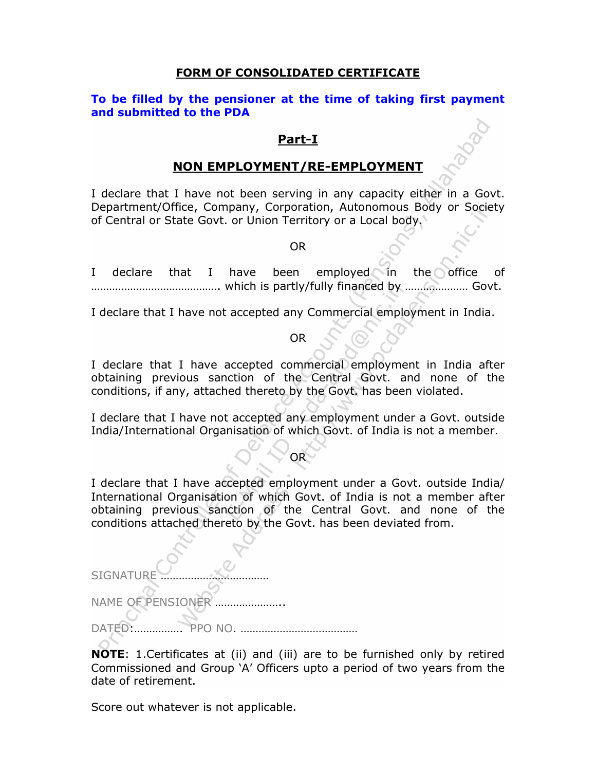### FORM OF CONSOLIDATED CERTIFICATE

### To be filled by the pensioner at the time of taking first payment and submitted to the PDA

### Part-I

### NON EMPLOYMENT/RE-EMPLOYMENT

I declare that I have not been serving in any capacity either in a Govt. Department/Office, Company, Corporation, Autonomous Body or Society of Central or State Govt. or Union Territory or a Local body.

OR

I declare that I have been employed in the office of ……………………………………. which is partly/fully financed by ………………… Govt.

I declare that I have not accepted any Commercial employment in India.

OR

I declare that I have accepted commercial employment in India after obtaining previous sanction of the Central Govt. and none of the conditions, if any, attached thereto by the Govt. has been violated.

I declare that I have not accepted any employment under a Govt. outside India/International Organisation of which Govt. of India is not a member.

### OR

I declare that I have accepted employment under a Govt. outside India/ International Organisation of which Govt. of India is not a member after obtaining previous sanction of the Central Govt. and none of the conditions attached thereto by the Govt. has been deviated from.

**SIGNATUR** 

NAME OF PENSIONER

DATED:……………. PPO NO. …………………………………

NOTE: 1.Certificates at (ii) and (iii) are to be furnished only by retired Commissioned and Group 'A' Officers upto a period of two years from the date of retirement.

Score out whatever is not applicable.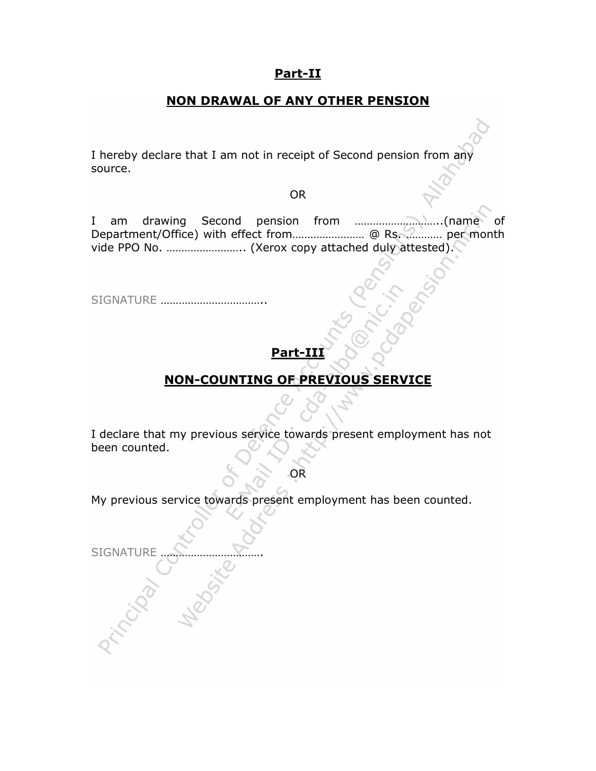## Part-II

## NON DRAWAL OF ANY OTHER PENSION

I hereby declare that I am not in receipt of Second pension from any source.

OR

I am drawing Second pension from ………………………..(name of Department/Office) with effect from…………………… @ Rs. ………… per month vide PPO No. …………………….. (Xerox copy attached duly attested).

SIGNATURE ……………………………..

# Part-

## NON-COUNTING OF PREVIOUS SERVICE

I declare that my previous service towards present employment has not been counted.

OR

My previous service towards present employment has been counted.

SIGNATURE ……